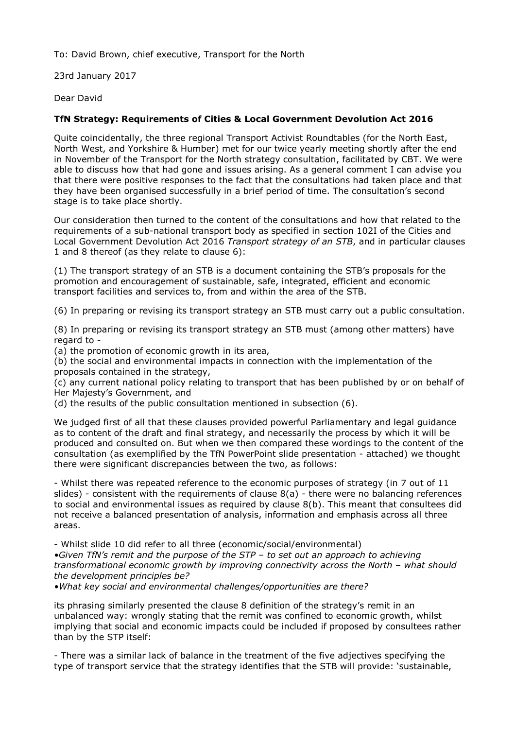To: David Brown, chief executive, Transport for the North

23rd January 2017

Dear David

## **TfN Strategy: Requirements of Cities & Local Government Devolution Act 2016**

Quite coincidentally, the three regional Transport Activist Roundtables (for the North East, North West, and Yorkshire & Humber) met for our twice yearly meeting shortly after the end in November of the Transport for the North strategy consultation, facilitated by CBT. We were able to discuss how that had gone and issues arising. As a general comment I can advise you that there were positive responses to the fact that the consultations had taken place and that they have been organised successfully in a brief period of time. The consultation's second stage is to take place shortly.

Our consideration then turned to the content of the consultations and how that related to the requirements of a sub-national transport body as specified in section 102I of the Cities and Local Government Devolution Act 2016 *Transport strategy of an STB*, and in particular clauses 1 and 8 thereof (as they relate to clause 6):

(1) The transport strategy of an STB is a document containing the STB's proposals for the promotion and encouragement of sustainable, safe, integrated, efficient and economic transport facilities and services to, from and within the area of the STB.

(6) In preparing or revising its transport strategy an STB must carry out a public consultation.

(8) In preparing or revising its transport strategy an STB must (among other matters) have regard to -

(a) the promotion of economic growth in its area,

(b) the social and environmental impacts in connection with the implementation of the proposals contained in the strategy,

(c) any current national policy relating to transport that has been published by or on behalf of Her Majesty's Government, and

(d) the results of the public consultation mentioned in subsection (6).

We judged first of all that these clauses provided powerful Parliamentary and legal guidance as to content of the draft and final strategy, and necessarily the process by which it will be produced and consulted on. But when we then compared these wordings to the content of the consultation (as exemplified by the TfN PowerPoint slide presentation - attached) we thought there were significant discrepancies between the two, as follows:

- Whilst there was repeated reference to the economic purposes of strategy (in 7 out of 11 slides) - consistent with the requirements of clause 8(a) - there were no balancing references to social and environmental issues as required by clause 8(b). This meant that consultees did not receive a balanced presentation of analysis, information and emphasis across all three areas.

- Whilst slide 10 did refer to all three (economic/social/environmental)

*•Given TfN's remit and the purpose of the STP – to set out an approach to achieving transformational economic growth by improving connectivity across the North – what should the development principles be?* 

*•What key social and environmental challenges/opportunities are there?*

its phrasing similarly presented the clause 8 definition of the strategy's remit in an unbalanced way: wrongly stating that the remit was confined to economic growth, whilst implying that social and economic impacts could be included if proposed by consultees rather than by the STP itself:

- There was a similar lack of balance in the treatment of the five adjectives specifying the type of transport service that the strategy identifies that the STB will provide: 'sustainable,